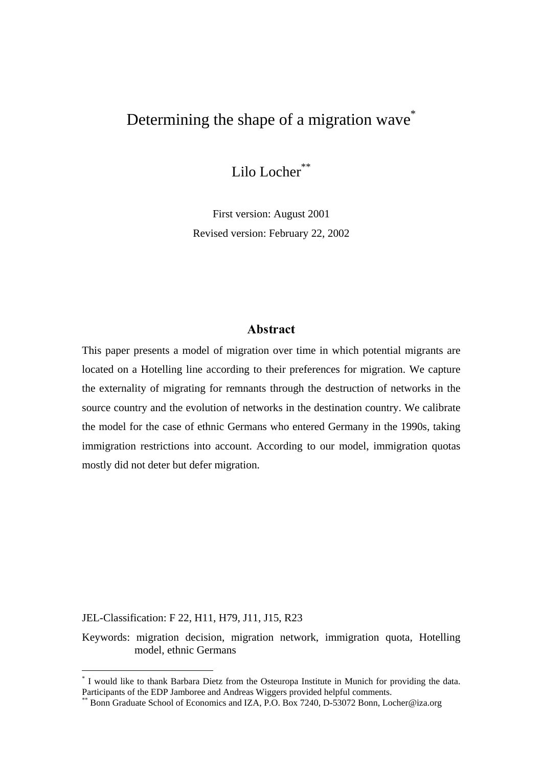# Determining the shape of a migration wave<sup>\*</sup>

Lilo Locher<sup>\*\*</sup>

First version: August 2001 Revised version: February 22, 2002

### -

This paper presents a model of migration over time in which potential migrants are located on a Hotelling line according to their preferences for migration. We capture the externality of migrating for remnants through the destruction of networks in the source country and the evolution of networks in the destination country. We calibrate the model for the case of ethnic Germans who entered Germany in the 1990s, taking immigration restrictions into account. According to our model, immigration quotas mostly did not deter but defer migration.

JEL-Classification: F 22, H11, H79, J11, J15, R23

 $\overline{a}$ 

Keywords: migration decision, migration network, immigration quota, Hotelling model, ethnic Germans

<sup>\*</sup> I would like to thank Barbara Dietz from the Osteuropa Institute in Munich for providing the data. Participants of the EDP Jamboree and Andreas Wiggers provided helpful comments.

Bonn Graduate School of Economics and IZA, P.O. Box 7240, D-53072 Bonn, Locher@iza.org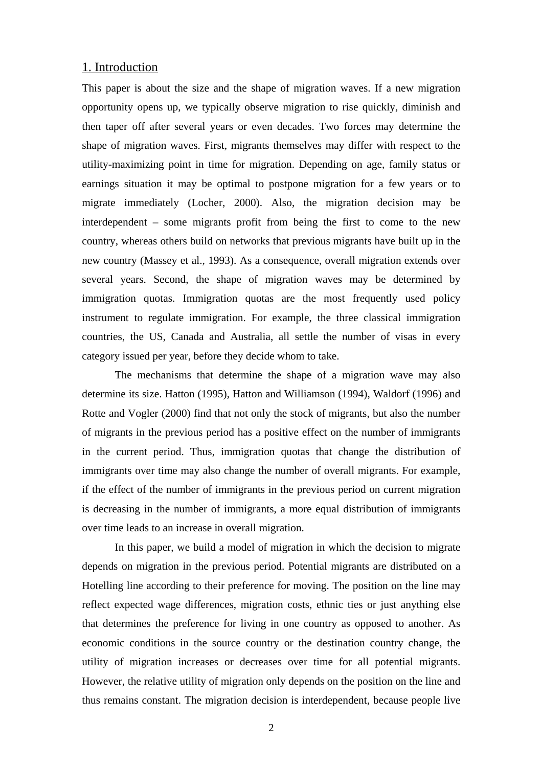#### 1. Introduction

This paper is about the size and the shape of migration waves. If a new migration opportunity opens up, we typically observe migration to rise quickly, diminish and then taper off after several years or even decades. Two forces may determine the shape of migration waves. First, migrants themselves may differ with respect to the utility-maximizing point in time for migration. Depending on age, family status or earnings situation it may be optimal to postpone migration for a few years or to migrate immediately (Locher, 2000). Also, the migration decision may be interdependent – some migrants profit from being the first to come to the new country, whereas others build on networks that previous migrants have built up in the new country (Massey et al., 1993). As a consequence, overall migration extends over several years. Second, the shape of migration waves may be determined by immigration quotas. Immigration quotas are the most frequently used policy instrument to regulate immigration. For example, the three classical immigration countries, the US, Canada and Australia, all settle the number of visas in every category issued per year, before they decide whom to take.

The mechanisms that determine the shape of a migration wave may also determine its size. Hatton (1995), Hatton and Williamson (1994), Waldorf (1996) and Rotte and Vogler (2000) find that not only the stock of migrants, but also the number of migrants in the previous period has a positive effect on the number of immigrants in the current period. Thus, immigration quotas that change the distribution of immigrants over time may also change the number of overall migrants. For example, if the effect of the number of immigrants in the previous period on current migration is decreasing in the number of immigrants, a more equal distribution of immigrants over time leads to an increase in overall migration.

In this paper, we build a model of migration in which the decision to migrate depends on migration in the previous period. Potential migrants are distributed on a Hotelling line according to their preference for moving. The position on the line may reflect expected wage differences, migration costs, ethnic ties or just anything else that determines the preference for living in one country as opposed to another. As economic conditions in the source country or the destination country change, the utility of migration increases or decreases over time for all potential migrants. However, the relative utility of migration only depends on the position on the line and thus remains constant. The migration decision is interdependent, because people live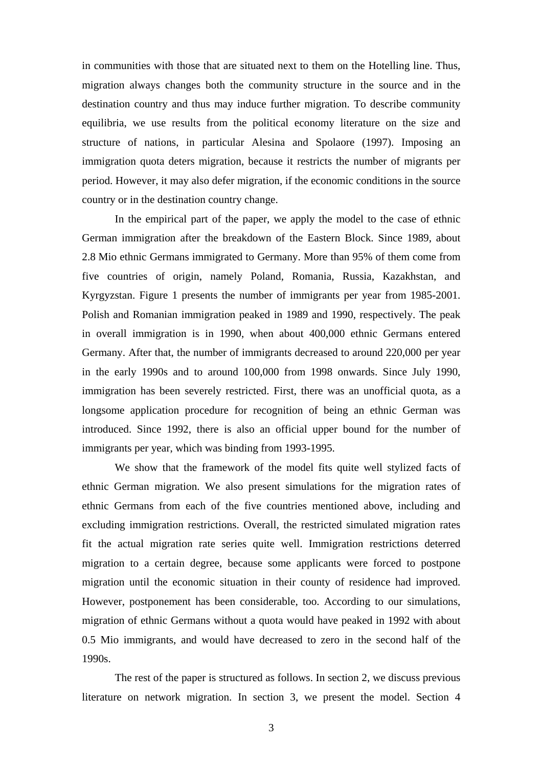in communities with those that are situated next to them on the Hotelling line. Thus, migration always changes both the community structure in the source and in the destination country and thus may induce further migration. To describe community equilibria, we use results from the political economy literature on the size and structure of nations, in particular Alesina and Spolaore (1997). Imposing an immigration quota deters migration, because it restricts the number of migrants per period. However, it may also defer migration, if the economic conditions in the source country or in the destination country change.

In the empirical part of the paper, we apply the model to the case of ethnic German immigration after the breakdown of the Eastern Block. Since 1989, about 2.8 Mio ethnic Germans immigrated to Germany. More than 95% of them come from five countries of origin, namely Poland, Romania, Russia, Kazakhstan, and Kyrgyzstan. Figure 1 presents the number of immigrants per year from 1985-2001. Polish and Romanian immigration peaked in 1989 and 1990, respectively. The peak in overall immigration is in 1990, when about 400,000 ethnic Germans entered Germany. After that, the number of immigrants decreased to around 220,000 per year in the early 1990s and to around 100,000 from 1998 onwards. Since July 1990, immigration has been severely restricted. First, there was an unofficial quota, as a longsome application procedure for recognition of being an ethnic German was introduced. Since 1992, there is also an official upper bound for the number of immigrants per year, which was binding from 1993-1995.

We show that the framework of the model fits quite well stylized facts of ethnic German migration. We also present simulations for the migration rates of ethnic Germans from each of the five countries mentioned above, including and excluding immigration restrictions. Overall, the restricted simulated migration rates fit the actual migration rate series quite well. Immigration restrictions deterred migration to a certain degree, because some applicants were forced to postpone migration until the economic situation in their county of residence had improved. However, postponement has been considerable, too. According to our simulations, migration of ethnic Germans without a quota would have peaked in 1992 with about 0.5 Mio immigrants, and would have decreased to zero in the second half of the 1990s.

The rest of the paper is structured as follows. In section 2, we discuss previous literature on network migration. In section 3, we present the model. Section 4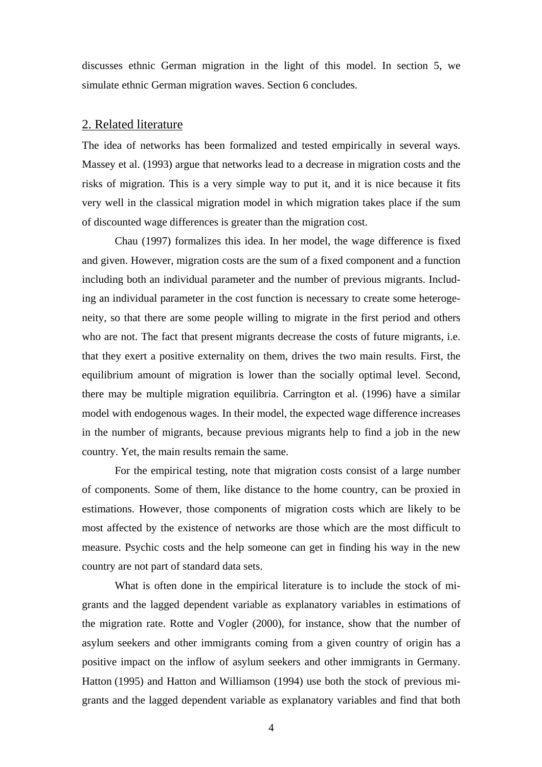discusses ethnic German migration in the light of this model. In section 5, we simulate ethnic German migration waves. Section 6 concludes.

#### 2. Related literature

The idea of networks has been formalized and tested empirically in several ways. Massey et al. (1993) argue that networks lead to a decrease in migration costs and the risks of migration. This is a very simple way to put it, and it is nice because it fits very well in the classical migration model in which migration takes place if the sum of discounted wage differences is greater than the migration cost.

Chau (1997) formalizes this idea. In her model, the wage difference is fixed and given. However, migration costs are the sum of a fixed component and a function including both an individual parameter and the number of previous migrants. Including an individual parameter in the cost function is necessary to create some heterogeneity, so that there are some people willing to migrate in the first period and others who are not. The fact that present migrants decrease the costs of future migrants, i.e. that they exert a positive externality on them, drives the two main results. First, the equilibrium amount of migration is lower than the socially optimal level. Second, there may be multiple migration equilibria. Carrington et al. (1996) have a similar model with endogenous wages. In their model, the expected wage difference increases in the number of migrants, because previous migrants help to find a job in the new country. Yet, the main results remain the same.

For the empirical testing, note that migration costs consist of a large number of components. Some of them, like distance to the home country, can be proxied in estimations. However, those components of migration costs which are likely to be most affected by the existence of networks are those which are the most difficult to measure. Psychic costs and the help someone can get in finding his way in the new country are not part of standard data sets.

What is often done in the empirical literature is to include the stock of migrants and the lagged dependent variable as explanatory variables in estimations of the migration rate. Rotte and Vogler (2000), for instance, show that the number of asylum seekers and other immigrants coming from a given country of origin has a positive impact on the inflow of asylum seekers and other immigrants in Germany. Hatton (1995) and Hatton and Williamson (1994) use both the stock of previous migrants and the lagged dependent variable as explanatory variables and find that both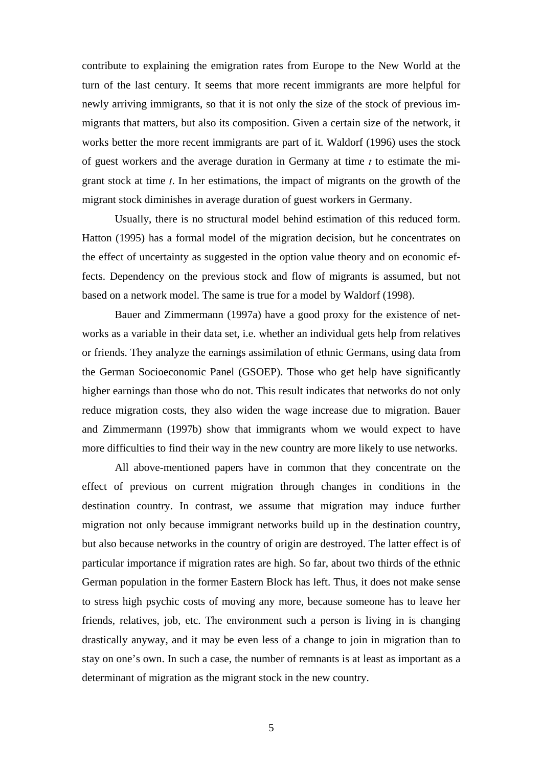contribute to explaining the emigration rates from Europe to the New World at the turn of the last century. It seems that more recent immigrants are more helpful for newly arriving immigrants, so that it is not only the size of the stock of previous immigrants that matters, but also its composition. Given a certain size of the network, it works better the more recent immigrants are part of it. Waldorf (1996) uses the stock of guest workers and the average duration in Germany at time  $t$  to estimate the migrant stock at time  $t$ . In her estimations, the impact of migrants on the growth of the migrant stock diminishes in average duration of guest workers in Germany.

Usually, there is no structural model behind estimation of this reduced form. Hatton (1995) has a formal model of the migration decision, but he concentrates on the effect of uncertainty as suggested in the option value theory and on economic effects. Dependency on the previous stock and flow of migrants is assumed, but not based on a network model. The same is true for a model by Waldorf (1998).

Bauer and Zimmermann (1997a) have a good proxy for the existence of networks as a variable in their data set, i.e. whether an individual gets help from relatives or friends. They analyze the earnings assimilation of ethnic Germans, using data from the German Socioeconomic Panel (GSOEP). Those who get help have significantly higher earnings than those who do not. This result indicates that networks do not only reduce migration costs, they also widen the wage increase due to migration. Bauer and Zimmermann (1997b) show that immigrants whom we would expect to have more difficulties to find their way in the new country are more likely to use networks.

All above-mentioned papers have in common that they concentrate on the effect of previous on current migration through changes in conditions in the destination country. In contrast, we assume that migration may induce further migration not only because immigrant networks build up in the destination country, but also because networks in the country of origin are destroyed. The latter effect is of particular importance if migration rates are high. So far, about two thirds of the ethnic German population in the former Eastern Block has left. Thus, it does not make sense to stress high psychic costs of moving any more, because someone has to leave her friends, relatives, job, etc. The environment such a person is living in is changing drastically anyway, and it may be even less of a change to join in migration than to stay on one's own. In such a case, the number of remnants is at least as important as a determinant of migration as the migrant stock in the new country.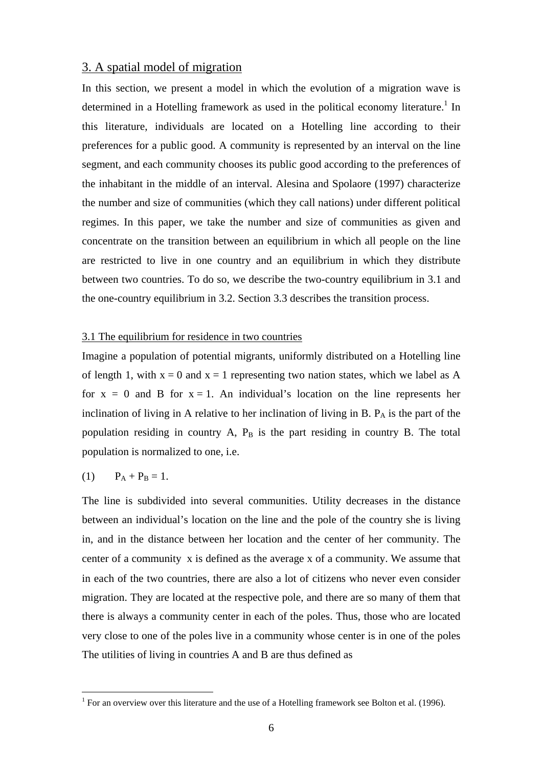#### 3. A spatial model of migration

In this section, we present a model in which the evolution of a migration wave is determined in a Hotelling framework as used in the political economy literature.<sup>1</sup> In this literature, individuals are located on a Hotelling line according to their preferences for a public good. A community is represented by an interval on the line segment, and each community chooses its public good according to the preferences of the inhabitant in the middle of an interval. Alesina and Spolaore (1997) characterize the number and size of communities (which they call nations) under different political regimes. In this paper, we take the number and size of communities as given and concentrate on the transition between an equilibrium in which all people on the line are restricted to live in one country and an equilibrium in which they distribute between two countries. To do so, we describe the two-country equilibrium in 3.1 and the one-country equilibrium in 3.2. Section 3.3 describes the transition process.

#### 3.1 The equilibrium for residence in two countries

Imagine a population of potential migrants, uniformly distributed on a Hotelling line of length 1, with  $x = 0$  and  $x = 1$  representing two nation states, which we label as A for  $x = 0$  and B for  $x = 1$ . An individual's location on the line represents her inclination of living in A relative to her inclination of living in B.  $P_A$  is the part of the population residing in country A,  $P_B$  is the part residing in country B. The total population is normalized to one, i.e.

$$
(1) \qquad P_A + P_B = 1.
$$

The line is subdivided into several communities. Utility decreases in the distance between an individual's location on the line and the pole of the country she is living in, and in the distance between her location and the center of her community. The center of a community  $\overline{x}$  is defined as the average x of a community. We assume that in each of the two countries, there are also a lot of citizens who never even consider migration. They are located at the respective pole, and there are so many of them that there is always a community center in each of the poles. Thus, those who are located very close to one of the poles live in a community whose center is in one of the poles The utilities of living in countries A and B are thus defined as

 1 For an overview over this literature and the use of a Hotelling framework see Bolton et al. (1996).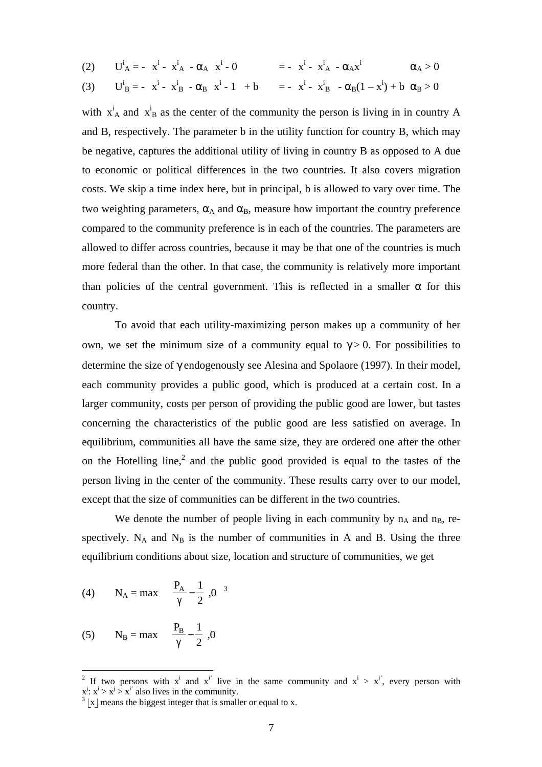$$
(2) \qquad U^i{}_A = -\left|x^i - \overline{x}^i{}_A\right| - \alpha_A \left|x^i - 0\right| \qquad \qquad = -\left|x^i - \overline{x}^i{}_A\right| - \alpha_A x^i \qquad \qquad \alpha_A > 0
$$

(3) 
$$
U_B^i = -|x^i - \overline{x}_B^i| - \alpha_B |x^i - 1| + b = -|x^i - \overline{x}_B^i| - \alpha_B (1 - x^i) + b \alpha_B > 0
$$

with  $\overline{x}_A^i$  and  $\overline{x}_B^i$  as the center of the community the person is living in in country A and B, respectively. The parameter b in the utility function for country B, which may be negative, captures the additional utility of living in country B as opposed to A due to economic or political differences in the two countries. It also covers migration costs. We skip a time index here, but in principal, b is allowed to vary over time. The two weighting parameters,  $\alpha_A$  and  $\alpha_B$ , measure how important the country preference compared to the community preference is in each of the countries. The parameters are allowed to differ across countries, because it may be that one of the countries is much more federal than the other. In that case, the community is relatively more important than policies of the central government. This is reflected in a smaller  $\alpha$  for this country.

To avoid that each utility-maximizing person makes up a community of her own, we set the minimum size of a community equal to  $\gamma > 0$ . For possibilities to determine the size of γ endogenously see Alesina and Spolaore (1997). In their model, each community provides a public good, which is produced at a certain cost. In a larger community, costs per person of providing the public good are lower, but tastes concerning the characteristics of the public good are less satisfied on average. In equilibrium, communities all have the same size, they are ordered one after the other on the Hotelling line,<sup>2</sup> and the public good provided is equal to the tastes of the person living in the center of the community. These results carry over to our model, except that the size of communities can be different in the two countries.

We denote the number of people living in each community by  $n_A$  and  $n_B$ , respectively.  $N_A$  and  $N_B$  is the number of communities in A and B. Using the three equilibrium conditions about size, location and structure of communities, we get

(4) 
$$
N_A = \max \left\{ \left[ \frac{P_A}{\gamma} - \frac{1}{2} \right], 0 \right\}^3
$$

(5) 
$$
N_B = max \left\{ \left| \frac{P_B}{\gamma} - \frac{1}{2} \right|, 0 \right\}
$$

<sup>&</sup>lt;sup>2</sup> If two persons with  $x^i$  and  $x^{i'}$  live in the same community and  $x^i > x^{i'}$ , every person with  $x^j$ :  $x^i > x^j > x^{i'}$  also lives in the community.

 $3 |x|$  means the biggest integer that is smaller or equal to x.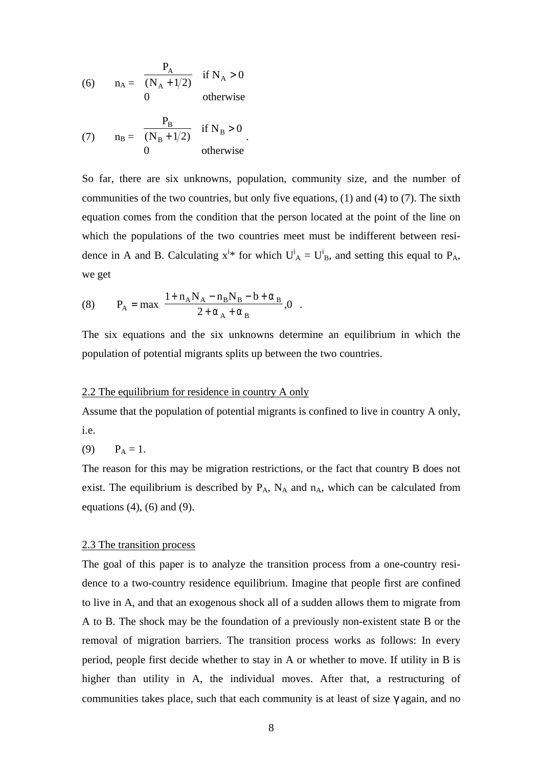(6) 
$$
n_A = \begin{cases} \frac{P_A}{(N_A + 1/2)} & \text{if } N_A > 0\\ 0 & \text{otherwise} \end{cases}
$$
  
(7) 
$$
n_B = \begin{cases} \frac{P_B}{(N_B + 1/2)} & \text{if } N_B > 0\\ 0 & \text{otherwise} \end{cases}
$$

So far, there are six unknowns, population, community size, and the number of communities of the two countries, but only five equations, (1) and (4) to (7). The sixth equation comes from the condition that the person located at the point of the line on which the populations of the two countries meet must be indifferent between residence in A and B. Calculating  $x^{i*}$  for which  $U^i_A = U^i_B$ , and setting this equal to  $P_A$ , we get

(8) 
$$
P_{A} = max \left\{ \frac{1 + n_{A}N_{A} - n_{B}N_{B} - b + \alpha_{B}}{2 + \alpha_{A} + \alpha_{B}}, 0 \right\}.
$$

The six equations and the six unknowns determine an equilibrium in which the population of potential migrants splits up between the two countries.

#### 2.2 The equilibrium for residence in country A only

Assume that the population of potential migrants is confined to live in country A only, i.e.

$$
(9) \qquad P_A = 1.
$$

The reason for this may be migration restrictions, or the fact that country B does not exist. The equilibrium is described by  $P_A$ ,  $N_A$  and  $n_A$ , which can be calculated from equations  $(4)$ ,  $(6)$  and  $(9)$ .

#### 2.3 The transition process

The goal of this paper is to analyze the transition process from a one-country residence to a two-country residence equilibrium. Imagine that people first are confined to live in A, and that an exogenous shock all of a sudden allows them to migrate from A to B. The shock may be the foundation of a previously non-existent state B or the removal of migration barriers. The transition process works as follows: In every period, people first decide whether to stay in A or whether to move. If utility in B is higher than utility in A, the individual moves. After that, a restructuring of communities takes place, such that each community is at least of size  $\gamma$  again, and no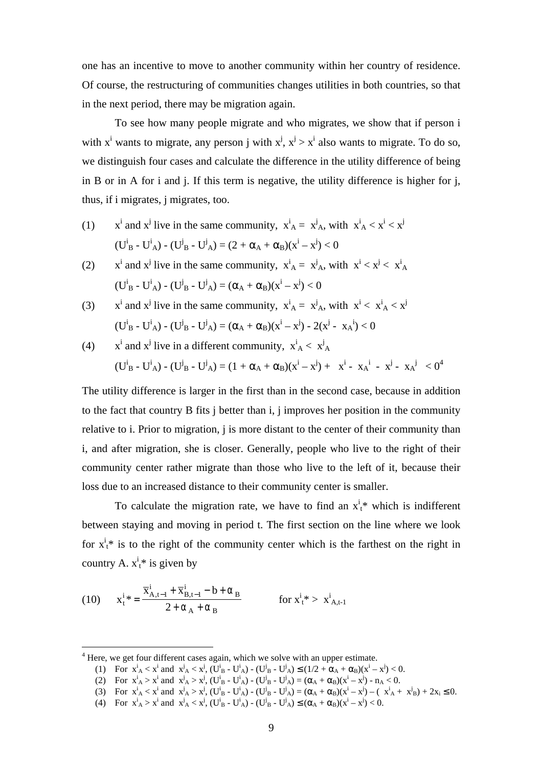one has an incentive to move to another community within her country of residence. Of course, the restructuring of communities changes utilities in both countries, so that in the next period, there may be migration again.

To see how many people migrate and who migrates, we show that if person i with x<sup>i</sup> wants to migrate, any person j with  $x^j$ ,  $x^j > x^i$  also wants to migrate. To do so, we distinguish four cases and calculate the difference in the utility difference of being in B or in A for i and j. If this term is negative, the utility difference is higher for j, thus, if i migrates, j migrates, too.

- $(1)$ <sup>i</sup> and x<sup>j</sup> live in the same community,  $\overline{x}_A^i = \overline{x}_A^j$ , with  $\overline{x}_A^i < x^i < x^j$  $(U_{B}^{i} - U_{A}^{i}) - (U_{B}^{j} - U_{A}^{j}) = (2 + \alpha_{A} + \alpha_{B})(x^{i} - x^{j}) < 0$
- $(2)$ <sup>i</sup> and x<sup>j</sup> live in the same community,  $\overline{x}_A^i = \overline{x}_A^j$ , with  $x^i < x^j < \overline{x}_A^i$ ( $U^i{}_B - U^i{}_A$ ) - ( $U^j{}_B - U^j{}_A$ ) = ( $\alpha_A + \alpha_B$ )( $x^i - x^j$ ) < 0
- $(3)$ <sup>i</sup> and x<sup>j</sup> live in the same community,  $\overline{x}_A^i = \overline{x}_A^j$ , with  $x^i < \overline{x}_A^i < x^j$  $(U_{B}^{i} - U_{A}^{i}) - (U_{B}^{j} - U_{A}^{j}) = (\alpha_{A} + \alpha_{B})(x^{i} - x^{j}) - 2(x^{j} - \overline{x}_{A}^{i}) < 0$
- $(4)$ <sup>i</sup> and x<sup>j</sup> live in a different community,  $\overline{x}_A^i < \overline{x}_A^j$  $(\textbf{U}_{\text{B}}^{\text{i}} - \textbf{U}_{\text{A}}^{\text{i}}) - (\textbf{U}_{\text{B}}^{\text{j}} - \textbf{U}_{\text{A}}^{\text{j}}) = (1 + \alpha_{\text{A}} + \alpha_{\text{B}})(x^{\text{i}} - x^{\text{j}}) + |x^{\text{i}} - \overline{x}_{\text{A}}^{\text{-i}}| - |x^{\text{j}} - \overline{x}_{\text{A}}^{\text{-j}}| < 0^4$

The utility difference is larger in the first than in the second case, because in addition to the fact that country B fits j better than i, j improves her position in the community relative to i. Prior to migration, j is more distant to the center of their community than i, and after migration, she is closer. Generally, people who live to the right of their community center rather migrate than those who live to the left of it, because their loss due to an increased distance to their community center is smaller.

To calculate the migration rate, we have to find an  $x_t^i$  which is indifferent between staying and moving in period t. The first section on the line where we look for  $x_t^i$  is to the right of the community center which is the farthest on the right in country A.  $x_t^i$ <sup>\*</sup> is given by

(10) 
$$
x_{t}^{i} * = \frac{\overline{x}_{A,t-1}^{i} + \overline{x}_{B,t-1}^{i} - b + \alpha_{B}}{2 + \alpha_{A} + \alpha_{B}} \qquad \text{for } x_{t}^{i} > \overline{x}_{A,t-1}^{i}
$$

- (1) For  $\overline{x}_A^i < x^i$  and  $\overline{x}_A^j < x^j$ ,  $(U_B^i U_A^i) (U_B^j U_A^j) \le (1/2 + \alpha_A + \alpha_B)(x^i x^j) < 0$ .
- (2) For  $\overline{x}_A^i > x^i$  and  $\overline{x}_A^j > x^j$ ,  $(U_B^i U_A^i) (U_B^j U_A^j) = (\alpha_A + \alpha_B)(x^i x^j) n_A < 0$ .
- (3) For  $\overline{x}_A^i < x^i$  and  $\overline{x}_A^j > x^j$ ,  $(U_B^i U_A^i) (U_B^j U_A^j) = (\alpha_A + \alpha_B)(x^i x^j) (\overline{x}_A^i + \overline{x}_B^j) + 2x_i \le 0$ .
- (4) For  $\overline{x}_A^i > x^i$  and  $\overline{x}_A^j < x^j$ ,  $(U^i_{B} U^i_{A}) (U^j_{B} U^j_{A}) \le (\alpha_A + \alpha_B)(x^i x^j) < 0$ .

 $4$  Here, we get four different cases again, which we solve with an upper estimate.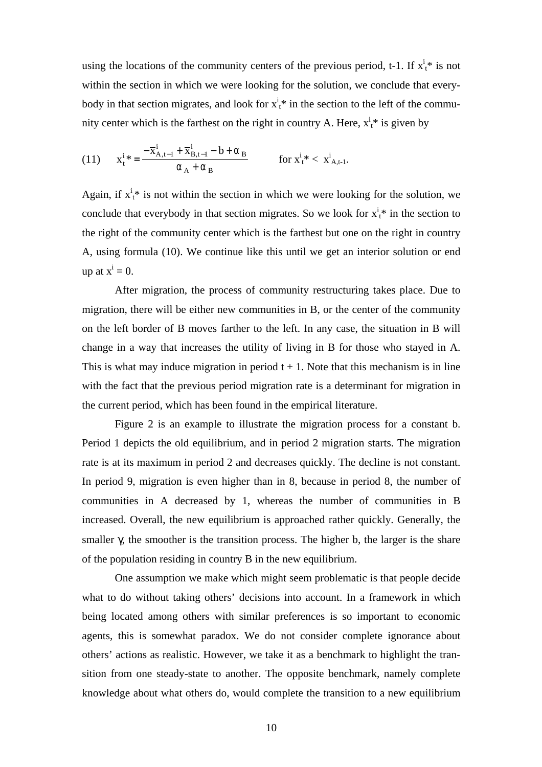using the locations of the community centers of the previous period, t-1. If  $x_t^i$  is not within the section in which we were looking for the solution, we conclude that everybody in that section migrates, and look for  $x_t^i$  in the section to the left of the community center which is the farthest on the right in country A. Here,  $x_t^i$  is given by

(11) 
$$
x_{t}^{i} * = \frac{-\overline{x}_{A,t-1}^{i} + \overline{x}_{B,t-1}^{i} - b + \alpha_{B}}{\alpha_{A} + \alpha_{B}} \qquad \text{for } x_{t}^{i} * < \overline{x}_{A,t-1}^{i}.
$$

Again, if  $x_t^i$  is not within the section in which we were looking for the solution, we conclude that everybody in that section migrates. So we look for  $x_t^i$  in the section to the right of the community center which is the farthest but one on the right in country A, using formula (10). We continue like this until we get an interior solution or end up at  $x^i = 0$ .

After migration, the process of community restructuring takes place. Due to migration, there will be either new communities in B, or the center of the community on the left border of B moves farther to the left. In any case, the situation in B will change in a way that increases the utility of living in B for those who stayed in A. This is what may induce migration in period  $t + 1$ . Note that this mechanism is in line with the fact that the previous period migration rate is a determinant for migration in the current period, which has been found in the empirical literature.

Figure 2 is an example to illustrate the migration process for a constant b. Period 1 depicts the old equilibrium, and in period 2 migration starts. The migration rate is at its maximum in period 2 and decreases quickly. The decline is not constant. In period 9, migration is even higher than in 8, because in period 8, the number of communities in A decreased by 1, whereas the number of communities in B increased. Overall, the new equilibrium is approached rather quickly. Generally, the smaller γ, the smoother is the transition process. The higher b, the larger is the share of the population residing in country B in the new equilibrium.

One assumption we make which might seem problematic is that people decide what to do without taking others' decisions into account. In a framework in which being located among others with similar preferences is so important to economic agents, this is somewhat paradox. We do not consider complete ignorance about others' actions as realistic. However, we take it as a benchmark to highlight the transition from one steady-state to another. The opposite benchmark, namely complete knowledge about what others do, would complete the transition to a new equilibrium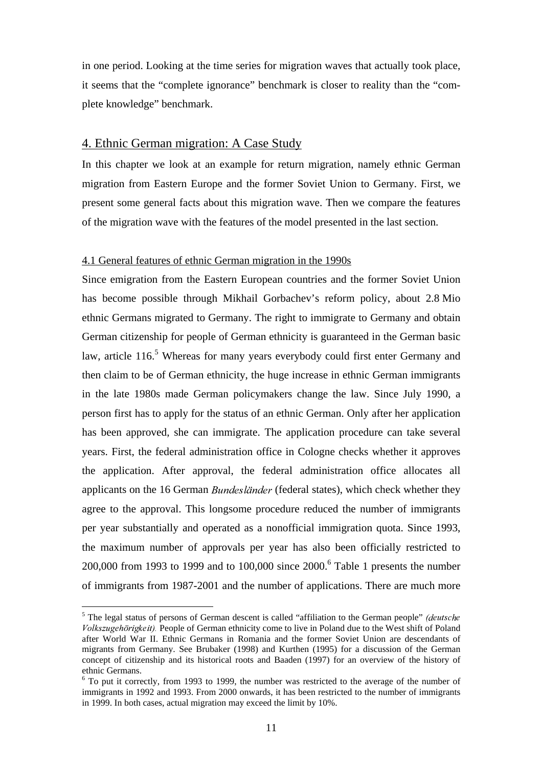in one period. Looking at the time series for migration waves that actually took place, it seems that the "complete ignorance" benchmark is closer to reality than the "complete knowledge" benchmark.

### 4. Ethnic German migration: A Case Study

In this chapter we look at an example for return migration, namely ethnic German migration from Eastern Europe and the former Soviet Union to Germany. First, we present some general facts about this migration wave. Then we compare the features of the migration wave with the features of the model presented in the last section.

#### 4.1 General features of ethnic German migration in the 1990s

Since emigration from the Eastern European countries and the former Soviet Union has become possible through Mikhail Gorbachev's reform policy, about 2.8 Mio ethnic Germans migrated to Germany. The right to immigrate to Germany and obtain German citizenship for people of German ethnicity is guaranteed in the German basic law, article 116.<sup>5</sup> Whereas for many years everybody could first enter Germany and then claim to be of German ethnicity, the huge increase in ethnic German immigrants in the late 1980s made German policymakers change the law. Since July 1990, a person first has to apply for the status of an ethnic German. Only after her application has been approved, she can immigrate. The application procedure can take several years. First, the federal administration office in Cologne checks whether it approves the application. After approval, the federal administration office allocates all applicants on the 16 German *Bundesländer* (federal states), which check whether they agree to the approval. This longsome procedure reduced the number of immigrants per year substantially and operated as a nonofficial immigration quota. Since 1993, the maximum number of approvals per year has also been officially restricted to 200,000 from 1993 to 1999 and to 100,000 since 2000. 6 Table 1 presents the number of immigrants from 1987-2001 and the number of applications. There are much more

 $<sup>5</sup>$  The legal status of persons of German descent is called "affiliation to the German people" *(deutsche*</sup> Volkszugehörigkeit). People of German ethnicity come to live in Poland due to the West shift of Poland after World War II. Ethnic Germans in Romania and the former Soviet Union are descendants of migrants from Germany. See Brubaker (1998) and Kurthen (1995) for a discussion of the German concept of citizenship and its historical roots and Baaden (1997) for an overview of the history of ethnic Germans.

<sup>6</sup> To put it correctly, from 1993 to 1999, the number was restricted to the average of the number of immigrants in 1992 and 1993. From 2000 onwards, it has been restricted to the number of immigrants in 1999. In both cases, actual migration may exceed the limit by 10%.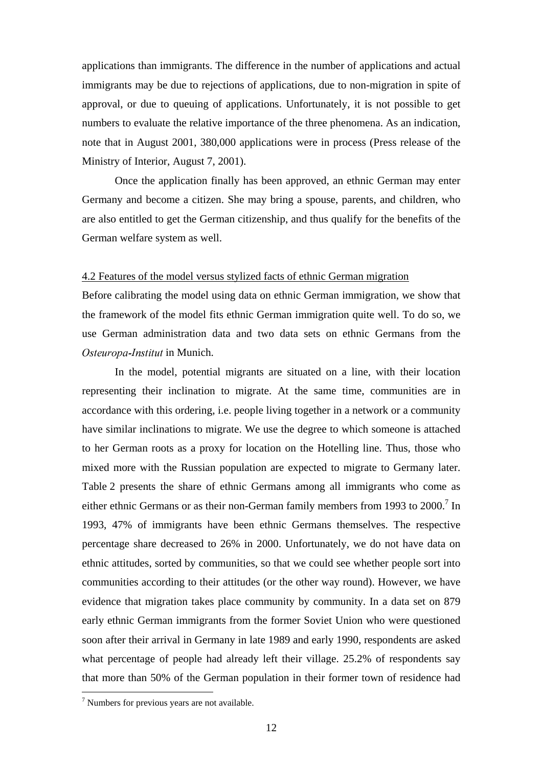applications than immigrants. The difference in the number of applications and actual immigrants may be due to rejections of applications, due to non-migration in spite of approval, or due to queuing of applications. Unfortunately, it is not possible to get numbers to evaluate the relative importance of the three phenomena. As an indication, note that in August 2001, 380,000 applications were in process (Press release of the Ministry of Interior, August 7, 2001).

Once the application finally has been approved, an ethnic German may enter Germany and become a citizen. She may bring a spouse, parents, and children, who are also entitled to get the German citizenship, and thus qualify for the benefits of the German welfare system as well.

#### 4.2 Features of the model versus stylized facts of ethnic German migration

Before calibrating the model using data on ethnic German immigration, we show that the framework of the model fits ethnic German immigration quite well. To do so, we use German administration data and two data sets on ethnic Germans from the Osteuropa-Institut in Munich.

In the model, potential migrants are situated on a line, with their location representing their inclination to migrate. At the same time, communities are in accordance with this ordering, i.e. people living together in a network or a community have similar inclinations to migrate. We use the degree to which someone is attached to her German roots as a proxy for location on the Hotelling line. Thus, those who mixed more with the Russian population are expected to migrate to Germany later. Table 2 presents the share of ethnic Germans among all immigrants who come as either ethnic Germans or as their non-German family members from 1993 to 2000.<sup>7</sup> In 1993, 47% of immigrants have been ethnic Germans themselves. The respective percentage share decreased to 26% in 2000. Unfortunately, we do not have data on ethnic attitudes, sorted by communities, so that we could see whether people sort into communities according to their attitudes (or the other way round). However, we have evidence that migration takes place community by community. In a data set on 879 early ethnic German immigrants from the former Soviet Union who were questioned soon after their arrival in Germany in late 1989 and early 1990, respondents are asked what percentage of people had already left their village. 25.2% of respondents say that more than 50% of the German population in their former town of residence had

 $7$  Numbers for previous years are not available.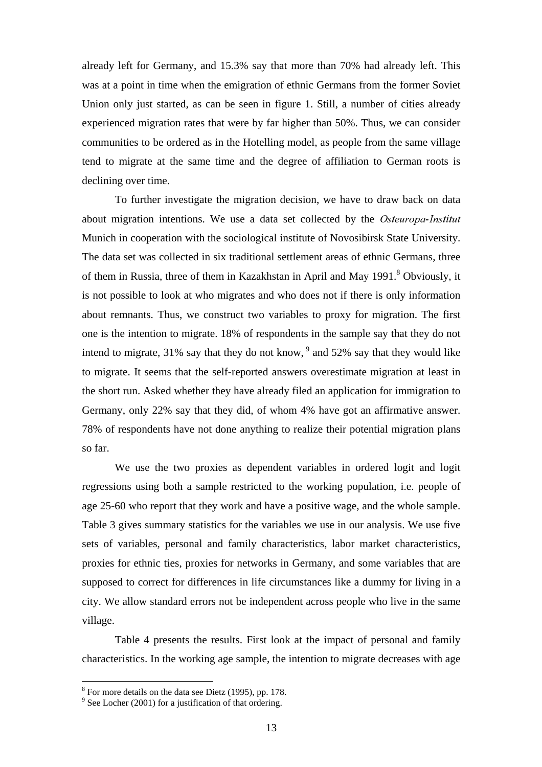already left for Germany, and 15.3% say that more than 70% had already left. This was at a point in time when the emigration of ethnic Germans from the former Soviet Union only just started, as can be seen in figure 1. Still, a number of cities already experienced migration rates that were by far higher than 50%. Thus, we can consider communities to be ordered as in the Hotelling model, as people from the same village tend to migrate at the same time and the degree of affiliation to German roots is declining over time.

To further investigate the migration decision, we have to draw back on data about migration intentions. We use a data set collected by the Osteuropa-Institut Munich in cooperation with the sociological institute of Novosibirsk State University. The data set was collected in six traditional settlement areas of ethnic Germans, three of them in Russia, three of them in Kazakhstan in April and May 1991.<sup>8</sup> Obviously, it is not possible to look at who migrates and who does not if there is only information about remnants. Thus, we construct two variables to proxy for migration. The first one is the intention to migrate. 18% of respondents in the sample say that they do not intend to migrate, 31% say that they do not know, <sup>9</sup> and 52% say that they would like to migrate. It seems that the self-reported answers overestimate migration at least in the short run. Asked whether they have already filed an application for immigration to Germany, only 22% say that they did, of whom 4% have got an affirmative answer. 78% of respondents have not done anything to realize their potential migration plans so far.

We use the two proxies as dependent variables in ordered logit and logit regressions using both a sample restricted to the working population, i.e. people of age 25-60 who report that they work and have a positive wage, and the whole sample. Table 3 gives summary statistics for the variables we use in our analysis. We use five sets of variables, personal and family characteristics, labor market characteristics, proxies for ethnic ties, proxies for networks in Germany, and some variables that are supposed to correct for differences in life circumstances like a dummy for living in a city. We allow standard errors not be independent across people who live in the same village.

Table 4 presents the results. First look at the impact of personal and family characteristics. In the working age sample, the intention to migrate decreases with age

 $8$  For more details on the data see Dietz (1995), pp. 178.

 $9^9$  See Locher (2001) for a justification of that ordering.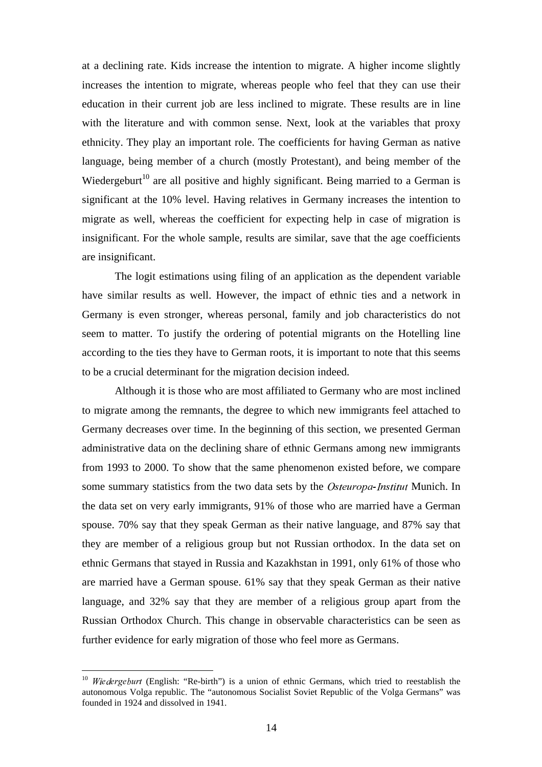at a declining rate. Kids increase the intention to migrate. A higher income slightly increases the intention to migrate, whereas people who feel that they can use their education in their current job are less inclined to migrate. These results are in line with the literature and with common sense. Next, look at the variables that proxy ethnicity. They play an important role. The coefficients for having German as native language, being member of a church (mostly Protestant), and being member of the Wiedergeburt<sup>10</sup> are all positive and highly significant. Being married to a German is significant at the 10% level. Having relatives in Germany increases the intention to migrate as well, whereas the coefficient for expecting help in case of migration is insignificant. For the whole sample, results are similar, save that the age coefficients are insignificant.

The logit estimations using filing of an application as the dependent variable have similar results as well. However, the impact of ethnic ties and a network in Germany is even stronger, whereas personal, family and job characteristics do not seem to matter. To justify the ordering of potential migrants on the Hotelling line according to the ties they have to German roots, it is important to note that this seems to be a crucial determinant for the migration decision indeed.

Although it is those who are most affiliated to Germany who are most inclined to migrate among the remnants, the degree to which new immigrants feel attached to Germany decreases over time. In the beginning of this section, we presented German administrative data on the declining share of ethnic Germans among new immigrants from 1993 to 2000. To show that the same phenomenon existed before, we compare some summary statistics from the two data sets by the Osteuropa-Institut Munich. In the data set on very early immigrants, 91% of those who are married have a German spouse. 70% say that they speak German as their native language, and 87% say that they are member of a religious group but not Russian orthodox. In the data set on ethnic Germans that stayed in Russia and Kazakhstan in 1991, only 61% of those who are married have a German spouse. 61% say that they speak German as their native language, and 32% say that they are member of a religious group apart from the Russian Orthodox Church. This change in observable characteristics can be seen as further evidence for early migration of those who feel more as Germans.

 $10$  Wiedergeburt (English: "Re-birth") is a union of ethnic Germans, which tried to reestablish the autonomous Volga republic. The "autonomous Socialist Soviet Republic of the Volga Germans" was founded in 1924 and dissolved in 1941.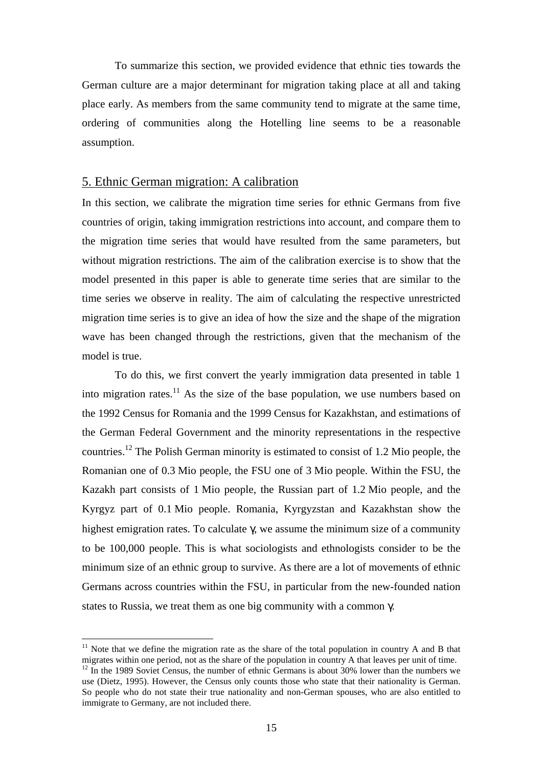To summarize this section, we provided evidence that ethnic ties towards the German culture are a major determinant for migration taking place at all and taking place early. As members from the same community tend to migrate at the same time, ordering of communities along the Hotelling line seems to be a reasonable assumption.

#### 5. Ethnic German migration: A calibration

In this section, we calibrate the migration time series for ethnic Germans from five countries of origin, taking immigration restrictions into account, and compare them to the migration time series that would have resulted from the same parameters, but without migration restrictions. The aim of the calibration exercise is to show that the model presented in this paper is able to generate time series that are similar to the time series we observe in reality. The aim of calculating the respective unrestricted migration time series is to give an idea of how the size and the shape of the migration wave has been changed through the restrictions, given that the mechanism of the model is true.

To do this, we first convert the yearly immigration data presented in table 1 into migration rates.<sup>11</sup> As the size of the base population, we use numbers based on the 1992 Census for Romania and the 1999 Census for Kazakhstan, and estimations of the German Federal Government and the minority representations in the respective countries.<sup>12</sup> The Polish German minority is estimated to consist of 1.2 Mio people, the Romanian one of 0.3 Mio people, the FSU one of 3 Mio people. Within the FSU, the Kazakh part consists of 1 Mio people, the Russian part of 1.2 Mio people, and the Kyrgyz part of 0.1 Mio people. Romania, Kyrgyzstan and Kazakhstan show the highest emigration rates. To calculate γ, we assume the minimum size of a community to be 100,000 people. This is what sociologists and ethnologists consider to be the minimum size of an ethnic group to survive. As there are a lot of movements of ethnic Germans across countries within the FSU, in particular from the new-founded nation states to Russia, we treat them as one big community with a common γ.

 $11$  Note that we define the migration rate as the share of the total population in country A and B that migrates within one period, not as the share of the population in country A that leaves per unit of time.<br><sup>12</sup> In the 1989 Soviet Census, the number of ethnic Germans is about 30% lower than the numbers we

use (Dietz, 1995). However, the Census only counts those who state that their nationality is German. So people who do not state their true nationality and non-German spouses, who are also entitled to immigrate to Germany, are not included there.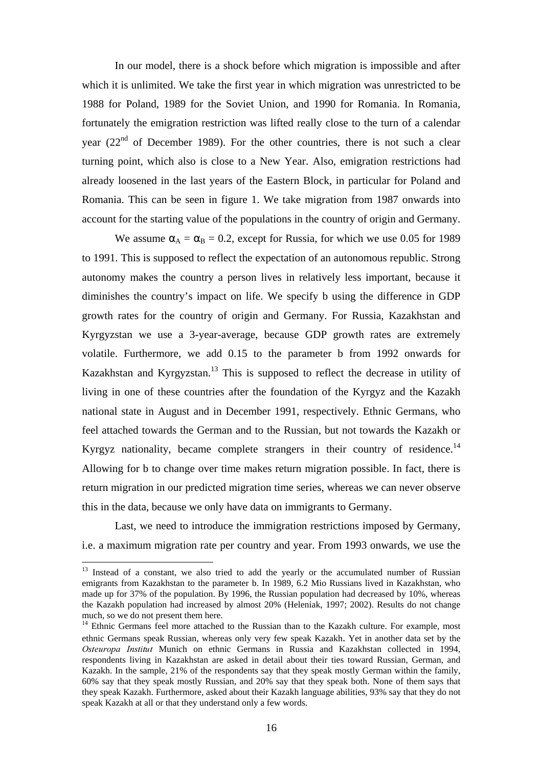In our model, there is a shock before which migration is impossible and after which it is unlimited. We take the first year in which migration was unrestricted to be 1988 for Poland, 1989 for the Soviet Union, and 1990 for Romania. In Romania, fortunately the emigration restriction was lifted really close to the turn of a calendar year (22<sup>nd</sup> of December 1989). For the other countries, there is not such a clear turning point, which also is close to a New Year. Also, emigration restrictions had already loosened in the last years of the Eastern Block, in particular for Poland and Romania. This can be seen in figure 1. We take migration from 1987 onwards into account for the starting value of the populations in the country of origin and Germany.

We assume  $\alpha_A = \alpha_B = 0.2$ , except for Russia, for which we use 0.05 for 1989 to 1991. This is supposed to reflect the expectation of an autonomous republic. Strong autonomy makes the country a person lives in relatively less important, because it diminishes the country's impact on life. We specify b using the difference in GDP growth rates for the country of origin and Germany. For Russia, Kazakhstan and Kyrgyzstan we use a 3-year-average, because GDP growth rates are extremely volatile. Furthermore, we add 0.15 to the parameter b from 1992 onwards for Kazakhstan and Kyrgyzstan.<sup>13</sup> This is supposed to reflect the decrease in utility of living in one of these countries after the foundation of the Kyrgyz and the Kazakh national state in August and in December 1991, respectively. Ethnic Germans, who feel attached towards the German and to the Russian, but not towards the Kazakh or Kyrgyz nationality, became complete strangers in their country of residence.<sup>14</sup> Allowing for b to change over time makes return migration possible. In fact, there is return migration in our predicted migration time series, whereas we can never observe this in the data, because we only have data on immigrants to Germany.

Last, we need to introduce the immigration restrictions imposed by Germany, i.e. a maximum migration rate per country and year. From 1993 onwards, we use the

<sup>&</sup>lt;sup>13</sup> Instead of a constant, we also tried to add the yearly or the accumulated number of Russian emigrants from Kazakhstan to the parameter b. In 1989, 6.2 Mio Russians lived in Kazakhstan, who made up for 37% of the population. By 1996, the Russian population had decreased by 10%, whereas the Kazakh population had increased by almost 20% (Heleniak, 1997; 2002). Results do not change much, so we do not present them here.

<sup>&</sup>lt;sup>14</sup> Ethnic Germans feel more attached to the Russian than to the Kazakh culture. For example, most ethnic Germans speak Russian, whereas only very few speak Kazakh. Yet in another data set by the Osteuropa Institut Munich on ethnic Germans in Russia and Kazakhstan collected in 1994, respondents living in Kazakhstan are asked in detail about their ties toward Russian, German, and Kazakh. In the sample, 21% of the respondents say that they speak mostly German within the family, 60% say that they speak mostly Russian, and 20% say that they speak both. None of them says that they speak Kazakh. Furthermore, asked about their Kazakh language abilities, 93% say that they do not speak Kazakh at all or that they understand only a few words.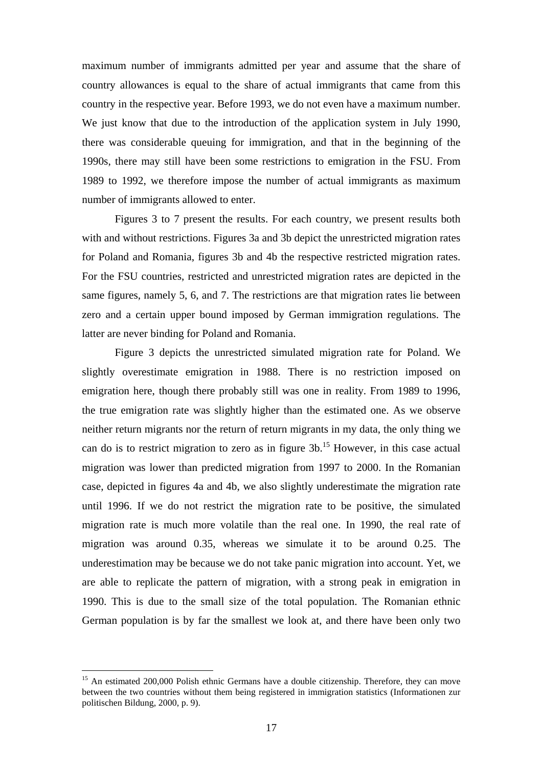maximum number of immigrants admitted per year and assume that the share of country allowances is equal to the share of actual immigrants that came from this country in the respective year. Before 1993, we do not even have a maximum number. We just know that due to the introduction of the application system in July 1990, there was considerable queuing for immigration, and that in the beginning of the 1990s, there may still have been some restrictions to emigration in the FSU. From 1989 to 1992, we therefore impose the number of actual immigrants as maximum number of immigrants allowed to enter.

Figures 3 to 7 present the results. For each country, we present results both with and without restrictions. Figures 3a and 3b depict the unrestricted migration rates for Poland and Romania, figures 3b and 4b the respective restricted migration rates. For the FSU countries, restricted and unrestricted migration rates are depicted in the same figures, namely 5, 6, and 7. The restrictions are that migration rates lie between zero and a certain upper bound imposed by German immigration regulations. The latter are never binding for Poland and Romania.

Figure 3 depicts the unrestricted simulated migration rate for Poland. We slightly overestimate emigration in 1988. There is no restriction imposed on emigration here, though there probably still was one in reality. From 1989 to 1996, the true emigration rate was slightly higher than the estimated one. As we observe neither return migrants nor the return of return migrants in my data, the only thing we can do is to restrict migration to zero as in figure 3b. <sup>15</sup> However, in this case actual migration was lower than predicted migration from 1997 to 2000. In the Romanian case, depicted in figures 4a and 4b, we also slightly underestimate the migration rate until 1996. If we do not restrict the migration rate to be positive, the simulated migration rate is much more volatile than the real one. In 1990, the real rate of migration was around 0.35, whereas we simulate it to be around 0.25. The underestimation may be because we do not take panic migration into account. Yet, we are able to replicate the pattern of migration, with a strong peak in emigration in 1990. This is due to the small size of the total population. The Romanian ethnic German population is by far the smallest we look at, and there have been only two

<sup>&</sup>lt;sup>15</sup> An estimated 200,000 Polish ethnic Germans have a double citizenship. Therefore, they can move between the two countries without them being registered in immigration statistics (Informationen zur politischen Bildung, 2000, p. 9).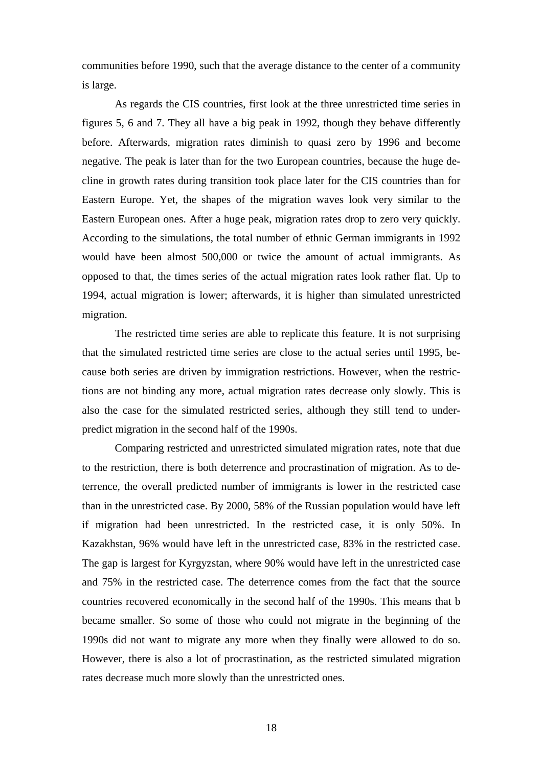communities before 1990, such that the average distance to the center of a community is large.

As regards the CIS countries, first look at the three unrestricted time series in figures 5, 6 and 7. They all have a big peak in 1992, though they behave differently before. Afterwards, migration rates diminish to quasi zero by 1996 and become negative. The peak is later than for the two European countries, because the huge decline in growth rates during transition took place later for the CIS countries than for Eastern Europe. Yet, the shapes of the migration waves look very similar to the Eastern European ones. After a huge peak, migration rates drop to zero very quickly. According to the simulations, the total number of ethnic German immigrants in 1992 would have been almost 500,000 or twice the amount of actual immigrants. As opposed to that, the times series of the actual migration rates look rather flat. Up to 1994, actual migration is lower; afterwards, it is higher than simulated unrestricted migration.

The restricted time series are able to replicate this feature. It is not surprising that the simulated restricted time series are close to the actual series until 1995, because both series are driven by immigration restrictions. However, when the restrictions are not binding any more, actual migration rates decrease only slowly. This is also the case for the simulated restricted series, although they still tend to underpredict migration in the second half of the 1990s.

Comparing restricted and unrestricted simulated migration rates, note that due to the restriction, there is both deterrence and procrastination of migration. As to deterrence, the overall predicted number of immigrants is lower in the restricted case than in the unrestricted case. By 2000, 58% of the Russian population would have left if migration had been unrestricted. In the restricted case, it is only 50%. In Kazakhstan, 96% would have left in the unrestricted case, 83% in the restricted case. The gap is largest for Kyrgyzstan, where 90% would have left in the unrestricted case and 75% in the restricted case. The deterrence comes from the fact that the source countries recovered economically in the second half of the 1990s. This means that b became smaller. So some of those who could not migrate in the beginning of the 1990s did not want to migrate any more when they finally were allowed to do so. However, there is also a lot of procrastination, as the restricted simulated migration rates decrease much more slowly than the unrestricted ones.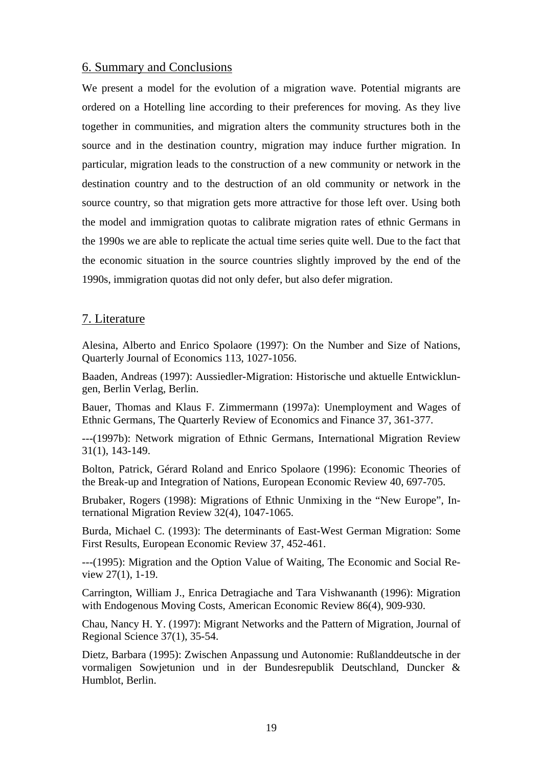## 6. Summary and Conclusions

We present a model for the evolution of a migration wave. Potential migrants are ordered on a Hotelling line according to their preferences for moving. As they live together in communities, and migration alters the community structures both in the source and in the destination country, migration may induce further migration. In particular, migration leads to the construction of a new community or network in the destination country and to the destruction of an old community or network in the source country, so that migration gets more attractive for those left over. Using both the model and immigration quotas to calibrate migration rates of ethnic Germans in the 1990s we are able to replicate the actual time series quite well. Due to the fact that the economic situation in the source countries slightly improved by the end of the 1990s, immigration quotas did not only defer, but also defer migration.

## 7. Literature

Alesina, Alberto and Enrico Spolaore (1997): On the Number and Size of Nations, Quarterly Journal of Economics 113, 1027-1056.

Baaden, Andreas (1997): Aussiedler-Migration: Historische und aktuelle Entwicklungen, Berlin Verlag, Berlin.

Bauer, Thomas and Klaus F. Zimmermann (1997a): Unemployment and Wages of Ethnic Germans, The Quarterly Review of Economics and Finance 37, 361-377.

---(1997b): Network migration of Ethnic Germans, International Migration Review 31(1), 143-149.

Bolton, Patrick, Gérard Roland and Enrico Spolaore (1996): Economic Theories of the Break-up and Integration of Nations, European Economic Review 40, 697-705.

Brubaker, Rogers (1998): Migrations of Ethnic Unmixing in the "New Europe", International Migration Review 32(4), 1047-1065.

Burda, Michael C. (1993): The determinants of East-West German Migration: Some First Results, European Economic Review 37, 452-461.

---(1995): Migration and the Option Value of Waiting, The Economic and Social Review 27(1), 1-19.

Carrington, William J., Enrica Detragiache and Tara Vishwananth (1996): Migration with Endogenous Moving Costs, American Economic Review 86(4), 909-930.

Chau, Nancy H. Y. (1997): Migrant Networks and the Pattern of Migration, Journal of Regional Science 37(1), 35-54.

Dietz, Barbara (1995): Zwischen Anpassung und Autonomie: Rußlanddeutsche in der vormaligen Sowjetunion und in der Bundesrepublik Deutschland, Duncker & Humblot, Berlin.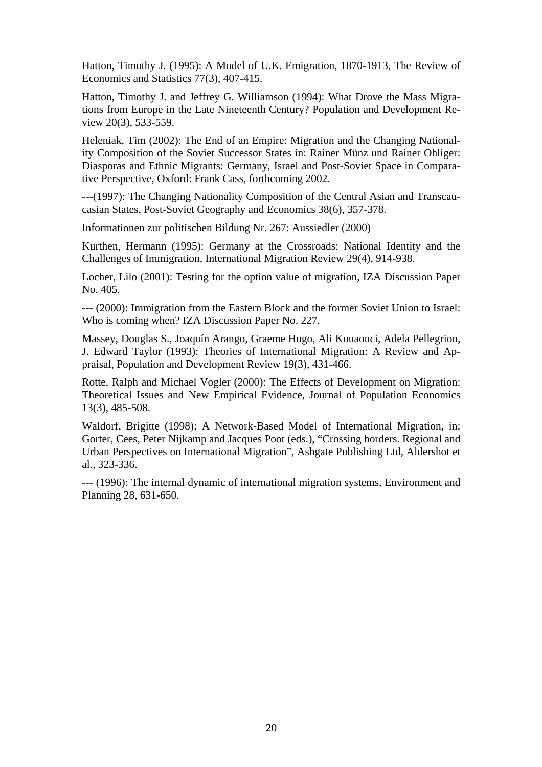Hatton, Timothy J. (1995): A Model of U.K. Emigration, 1870-1913, The Review of Economics and Statistics 77(3), 407-415.

Hatton, Timothy J. and Jeffrey G. Williamson (1994): What Drove the Mass Migrations from Europe in the Late Nineteenth Century? Population and Development Review 20(3), 533-559.

Heleniak, Tim (2002): The End of an Empire: Migration and the Changing Nationality Composition of the Soviet Successor States in: Rainer Münz und Rainer Ohliger: Diasporas and Ethnic Migrants: Germany, Israel and Post-Soviet Space in Comparative Perspective, Oxford: Frank Cass, forthcoming 2002.

---(1997): The Changing Nationality Composition of the Central Asian and Transcaucasian States, Post-Soviet Geography and Economics 38(6), 357-378.

Informationen zur politischen Bildung Nr. 267: Aussiedler (2000)

Kurthen, Hermann (1995): Germany at the Crossroads: National Identity and the Challenges of Immigration, International Migration Review 29(4), 914-938.

Locher, Lilo (2001): Testing for the option value of migration, IZA Discussion Paper No. 405.

--- (2000): Immigration from the Eastern Block and the former Soviet Union to Israel: Who is coming when? IZA Discussion Paper No. 227.

Massey, Douglas S., Joaquín Arango, Graeme Hugo, Ali Kouaouci, Adela Pellegrion, J. Edward Taylor (1993): Theories of International Migration: A Review and Appraisal, Population and Development Review 19(3), 431-466.

Rotte, Ralph and Michael Vogler (2000): The Effects of Development on Migration: Theoretical Issues and New Empirical Evidence, Journal of Population Economics 13(3), 485-508.

Waldorf, Brigitte (1998): A Network-Based Model of International Migration, in: Gorter, Cees, Peter Nijkamp and Jacques Poot (eds.), "Crossing borders. Regional and Urban Perspectives on International Migration", Ashgate Publishing Ltd, Aldershot et al., 323-336.

--- (1996): The internal dynamic of international migration systems, Environment and Planning 28, 631-650.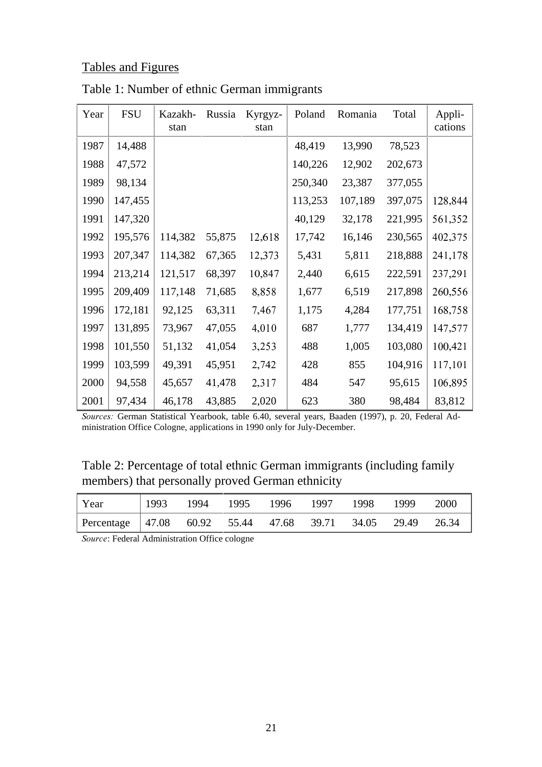# Tables and Figures

| Year | <b>FSU</b> | Kazakh-<br>stan | Russia | Kyrgyz-<br>stan | Poland  | Romania | Total   | Appli-<br>cations |
|------|------------|-----------------|--------|-----------------|---------|---------|---------|-------------------|
| 1987 | 14,488     |                 |        |                 | 48,419  | 13,990  | 78,523  |                   |
| 1988 | 47,572     |                 |        |                 | 140,226 | 12,902  | 202,673 |                   |
| 1989 | 98,134     |                 |        |                 | 250,340 | 23,387  | 377,055 |                   |
| 1990 | 147,455    |                 |        |                 | 113,253 | 107,189 | 397,075 | 128,844           |
| 1991 | 147,320    |                 |        |                 | 40,129  | 32,178  | 221,995 | 561,352           |
| 1992 | 195,576    | 114,382         | 55,875 | 12,618          | 17,742  | 16,146  | 230,565 | 402,375           |
| 1993 | 207,347    | 114,382         | 67,365 | 12,373          | 5,431   | 5,811   | 218,888 | 241,178           |
| 1994 | 213,214    | 121,517         | 68,397 | 10,847          | 2,440   | 6,615   | 222,591 | 237,291           |
| 1995 | 209,409    | 117,148         | 71,685 | 8,858           | 1,677   | 6,519   | 217,898 | 260,556           |
| 1996 | 172,181    | 92,125          | 63,311 | 7,467           | 1,175   | 4,284   | 177,751 | 168,758           |
| 1997 | 131,895    | 73,967          | 47,055 | 4,010           | 687     | 1,777   | 134,419 | 147,577           |
| 1998 | 101,550    | 51,132          | 41,054 | 3,253           | 488     | 1,005   | 103,080 | 100,421           |
| 1999 | 103,599    | 49,391          | 45,951 | 2,742           | 428     | 855     | 104,916 | 117,101           |
| 2000 | 94,558     | 45,657          | 41,478 | 2,317           | 484     | 547     | 95,615  | 106,895           |
| 2001 | 97,434     | 46,178          | 43,885 | 2,020           | 623     | 380     | 98,484  | 83,812            |

Table 1: Number of ethnic German immigrants

Sources: German Statistical Yearbook, table 6.40, several years, Baaden (1997), p. 20, Federal Administration Office Cologne, applications in 1990 only for July-December.

# Table 2: Percentage of total ethnic German immigrants (including family members) that personally proved German ethnicity

| Year                                                       |  |  | 1993 1994 1995 1996 1997 1998 1999 | 2000 |
|------------------------------------------------------------|--|--|------------------------------------|------|
| Percentage 47.08 60.92 55.44 47.68 39.71 34.05 29.49 26.34 |  |  |                                    |      |

Source: Federal Administration Office cologne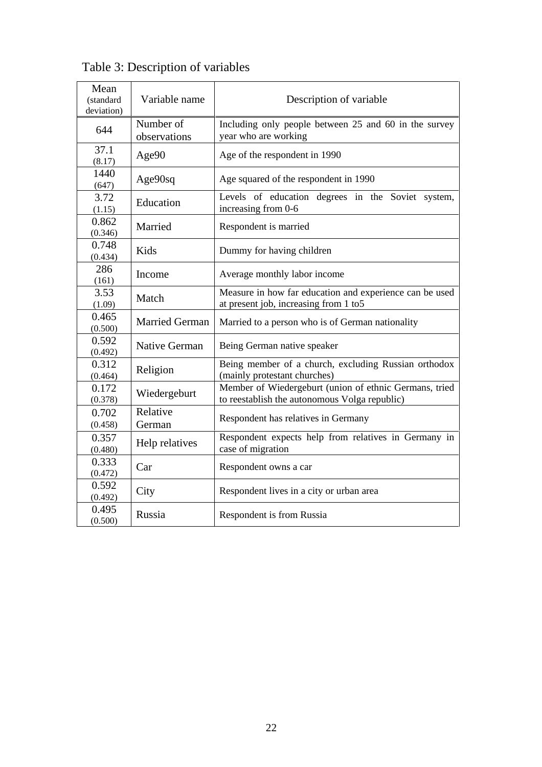| Mean<br>(standard<br>deviation) | Variable name             | Description of variable                                                                                 |  |  |  |  |  |
|---------------------------------|---------------------------|---------------------------------------------------------------------------------------------------------|--|--|--|--|--|
| 644                             | Number of<br>observations | Including only people between 25 and 60 in the survey<br>year who are working                           |  |  |  |  |  |
| 37.1<br>(8.17)                  | Age90                     | Age of the respondent in 1990                                                                           |  |  |  |  |  |
| 1440<br>(647)                   | Age90sq                   | Age squared of the respondent in 1990                                                                   |  |  |  |  |  |
| 3.72<br>(1.15)                  | Education                 | Levels of education degrees in the Soviet system,<br>increasing from 0-6                                |  |  |  |  |  |
| 0.862<br>(0.346)                | Married                   | Respondent is married                                                                                   |  |  |  |  |  |
| 0.748<br>(0.434)                | Kids                      | Dummy for having children                                                                               |  |  |  |  |  |
| 286<br>(161)                    | Income                    | Average monthly labor income                                                                            |  |  |  |  |  |
| 3.53<br>(1.09)                  | Match                     | Measure in how far education and experience can be used<br>at present job, increasing from 1 to 5       |  |  |  |  |  |
| 0.465<br>(0.500)                | <b>Married German</b>     | Married to a person who is of German nationality                                                        |  |  |  |  |  |
| 0.592<br>(0.492)                | <b>Native German</b>      | Being German native speaker                                                                             |  |  |  |  |  |
| 0.312<br>(0.464)                | Religion                  | Being member of a church, excluding Russian orthodox<br>(mainly protestant churches)                    |  |  |  |  |  |
| 0.172<br>(0.378)                | Wiedergeburt              | Member of Wiedergeburt (union of ethnic Germans, tried<br>to reestablish the autonomous Volga republic) |  |  |  |  |  |
| 0.702<br>(0.458)                | Relative<br>German        | Respondent has relatives in Germany                                                                     |  |  |  |  |  |
| 0.357<br>(0.480)                | Help relatives            | Respondent expects help from relatives in Germany in<br>case of migration                               |  |  |  |  |  |
| 0.333<br>(0.472)                | Car                       | Respondent owns a car                                                                                   |  |  |  |  |  |
| 0.592<br>(0.492)                | City                      | Respondent lives in a city or urban area                                                                |  |  |  |  |  |
| 0.495<br>(0.500)                | Russia                    | Respondent is from Russia                                                                               |  |  |  |  |  |

Table 3: Description of variables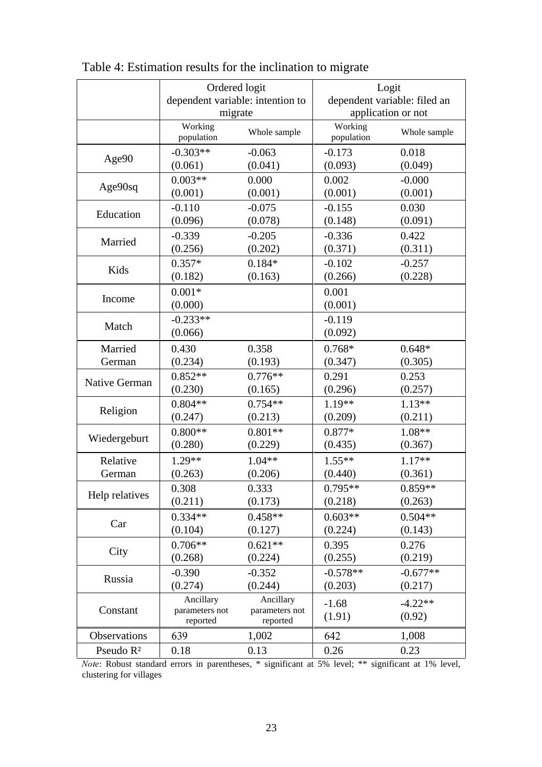|                       | Ordered logit<br>dependent variable: intention to<br>migrate |                                         | Logit<br>dependent variable: filed an<br>application or not                                                                |                     |  |
|-----------------------|--------------------------------------------------------------|-----------------------------------------|----------------------------------------------------------------------------------------------------------------------------|---------------------|--|
|                       | Working<br>population                                        | Whole sample                            | Working<br>population                                                                                                      | Whole sample        |  |
| Age90                 | $-0.303**$                                                   | $-0.063$                                | $-0.173$                                                                                                                   | 0.018               |  |
|                       | (0.061)                                                      | (0.041)                                 | (0.093)                                                                                                                    | (0.049)             |  |
| Age90sq               | $0.003**$                                                    | 0.000                                   | 0.002                                                                                                                      | $-0.000$            |  |
|                       | (0.001)                                                      | (0.001)                                 | (0.001)                                                                                                                    | (0.001)             |  |
| Education             | $-0.110$                                                     | $-0.075$                                | $-0.155$                                                                                                                   | 0.030               |  |
|                       | (0.096)                                                      | (0.078)                                 | (0.148)                                                                                                                    | (0.091)             |  |
| Married               | $-0.339$                                                     | $-0.205$                                | $-0.336$                                                                                                                   | 0.422               |  |
|                       | (0.256)                                                      | (0.202)                                 | (0.371)                                                                                                                    | (0.311)             |  |
| Kids                  | $0.357*$                                                     | $0.184*$                                | $-0.102$                                                                                                                   | $-0.257$            |  |
|                       | (0.182)                                                      | (0.163)                                 | (0.266)                                                                                                                    | (0.228)             |  |
| Income                | $0.001*$<br>(0.000)                                          |                                         | 0.001<br>(0.001)                                                                                                           |                     |  |
| Match                 | $-0.233**$<br>(0.066)                                        |                                         | $-0.119$<br>(0.092)                                                                                                        |                     |  |
| Married               | 0.430                                                        | 0.358                                   | $0.768*$                                                                                                                   | $0.648*$            |  |
| German                | (0.234)                                                      | (0.193)                                 | (0.347)                                                                                                                    | (0.305)             |  |
| Native German         | $0.852**$                                                    | $0.776**$                               | 0.291                                                                                                                      | 0.253               |  |
|                       | (0.230)                                                      | (0.165)                                 | (0.296)                                                                                                                    | (0.257)             |  |
| Religion              | $0.804**$                                                    | $0.754**$                               | $1.19**$                                                                                                                   | $1.13**$            |  |
|                       | (0.247)                                                      | (0.213)                                 | (0.209)                                                                                                                    | (0.211)             |  |
| Wiedergeburt          | $0.800**$                                                    | $0.801**$                               | 0.877*                                                                                                                     | $1.08**$            |  |
|                       | (0.280)                                                      | (0.229)                                 | (0.435)                                                                                                                    | (0.367)             |  |
| Relative              | $1.29**$                                                     | $1.04**$                                | $1.55**$                                                                                                                   | $1.17**$            |  |
| German                | (0.263)                                                      | (0.206)                                 | (0.440)                                                                                                                    | (0.361)             |  |
| Help relatives        | 0.308                                                        | 0.333                                   | $0.795**$                                                                                                                  | $0.859**$           |  |
|                       | (0.211)                                                      | (0.173)                                 | (0.218)                                                                                                                    | (0.263)             |  |
| Car                   | $0.334**$                                                    | $0.458**$                               | $0.603**$                                                                                                                  | $0.504**$           |  |
|                       | (0.104)                                                      | (0.127)                                 | (0.224)                                                                                                                    | (0.143)             |  |
| City                  | $0.706**$                                                    | $0.621**$                               | 0.395                                                                                                                      | 0.276               |  |
|                       | (0.268)                                                      | (0.224)                                 | (0.255)                                                                                                                    | (0.219)             |  |
| Russia                | $-0.390$                                                     | $-0.352$                                | $-0.578**$                                                                                                                 | $-0.677**$          |  |
|                       | (0.274)                                                      | (0.244)                                 | (0.203)                                                                                                                    | (0.217)             |  |
| Constant              | Ancillary<br>parameters not<br>reported                      | Ancillary<br>parameters not<br>reported | $-1.68$<br>(1.91)                                                                                                          | $-4.22**$<br>(0.92) |  |
| Observations          | 639                                                          | 1,002                                   | 642                                                                                                                        | 1,008               |  |
| Pseudo R <sup>2</sup> | 0.18                                                         | 0.13                                    | 0.23<br>0.26<br><i>Note:</i> Robust standard errors in parentheses, * significant at 5% level; ** significant at 1% level, |                     |  |

Table 4: Estimation results for the inclination to migrate

clustering for villages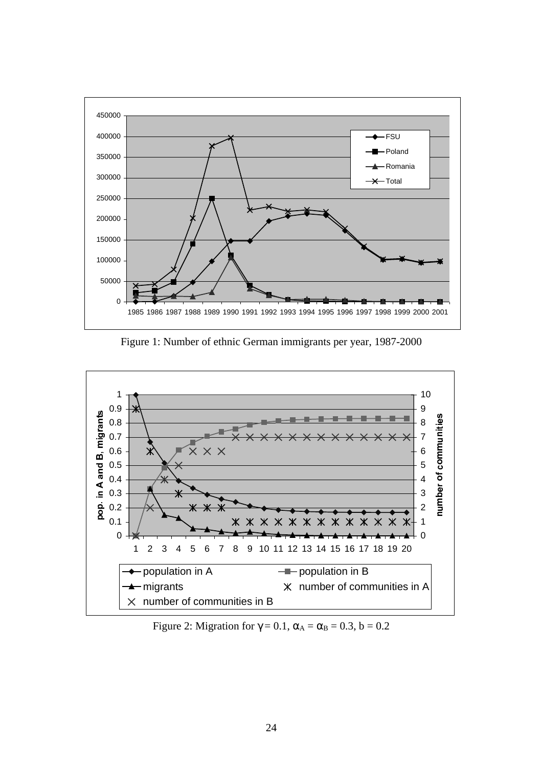

Figure 1: Number of ethnic German immigrants per year, 1987-2000



Figure 2: Migration for  $\gamma = 0.1$ ,  $\alpha_A = \alpha_B = 0.3$ ,  $b = 0.2$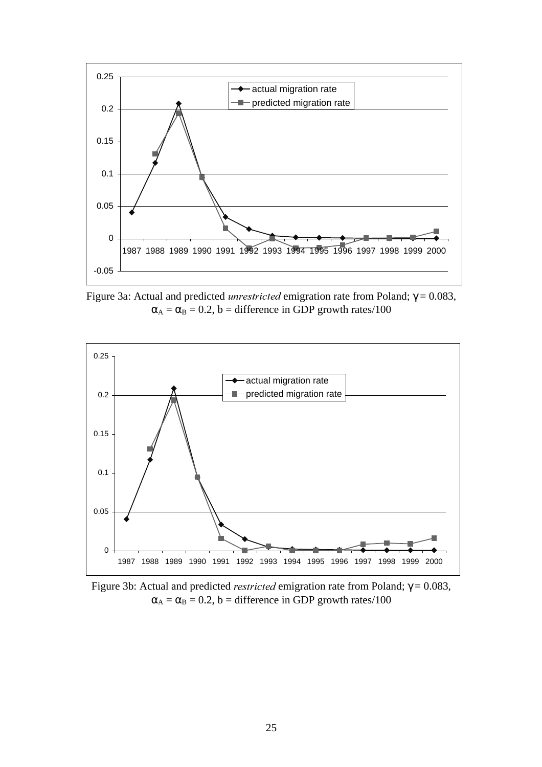

Figure 3a: Actual and predicted *unrestricted* emigration rate from Poland;  $γ = 0.083$ ,  $\alpha_A = \alpha_B = 0.2$ , b = difference in GDP growth rates/100



Figure 3b: Actual and predicted *restricted* emigration rate from Poland;  $γ = 0.083$ ,  $\alpha_A = \alpha_B = 0.2$ , b = difference in GDP growth rates/100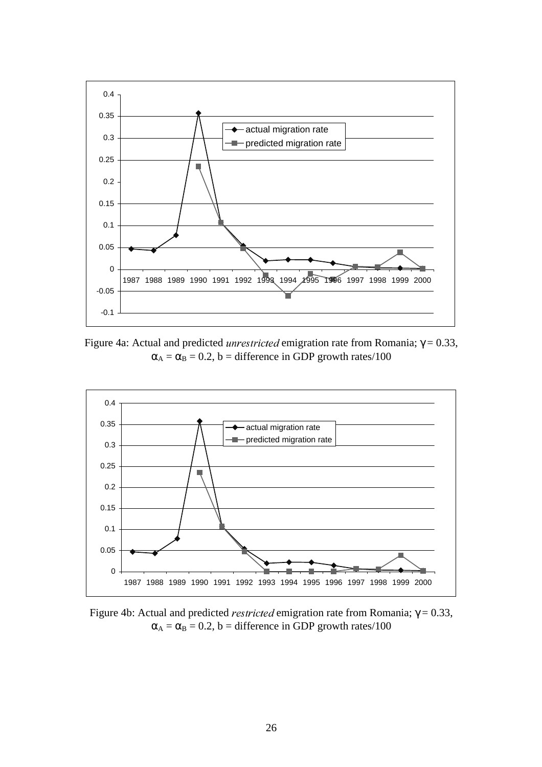

Figure 4a: Actual and predicted *unrestricted* emigration rate from Romania;  $γ = 0.33$ ,  $\alpha_A = \alpha_B = 0.2$ , b = difference in GDP growth rates/100



Figure 4b: Actual and predicted *restricted* emigration rate from Romania;  $γ = 0.33$ ,  $\alpha_A = \alpha_B = 0.2$ , b = difference in GDP growth rates/100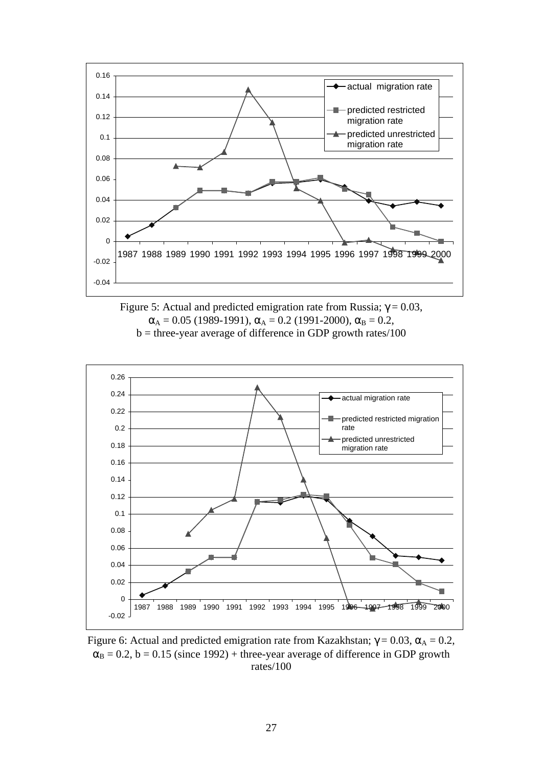

Figure 5: Actual and predicted emigration rate from Russia;  $γ = 0.03$ ,  $\alpha_A = 0.05$  (1989-1991),  $\alpha_A = 0.2$  (1991-2000),  $\alpha_B = 0.2$ ,  $b =$  three-year average of difference in GDP growth rates/100



Figure 6: Actual and predicted emigration rate from Kazakhstan;  $γ = 0.03$ ,  $α<sub>A</sub> = 0.2$ ,  $\alpha_B = 0.2$ ,  $b = 0.15$  (since 1992) + three-year average of difference in GDP growth rates/100